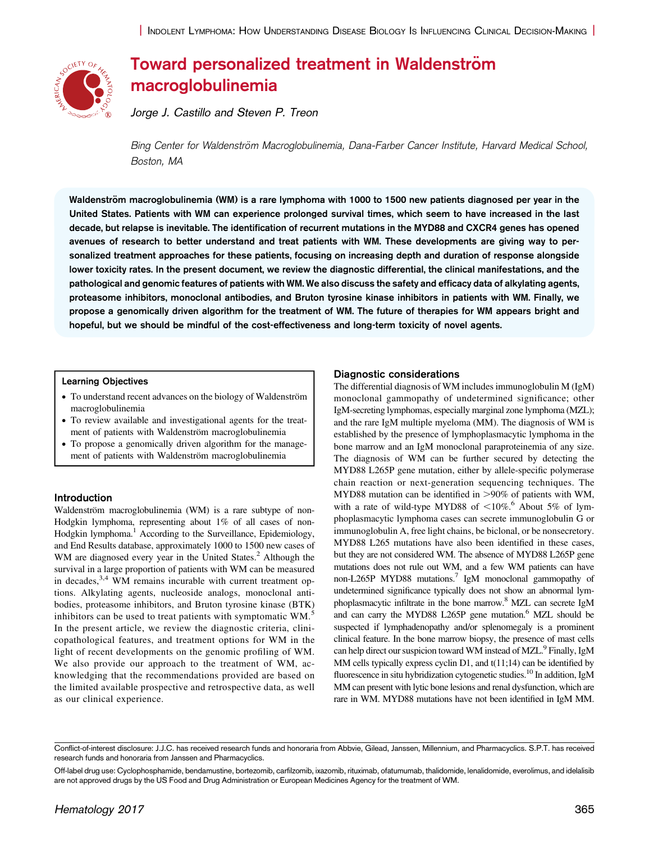

# Toward personalized treatment in Waldenström macroglobulinemia

Jorge J. Castillo and Steven P. Treon

Bing Center for Waldenström Macroglobulinemia, Dana-Farber Cancer Institute, Harvard Medical School, Boston, MA

Waldenström macroglobulinemia (WM) is a rare lymphoma with 1000 to 1500 new patients diagnosed per year in the United States. Patients with WM can experience prolonged survival times, which seem to have increased in the last decade, but relapse is inevitable. The identification of recurrent mutations in the MYD88 and CXCR4 genes has opened avenues of research to better understand and treat patients with WM. These developments are giving way to personalized treatment approaches for these patients, focusing on increasing depth and duration of response alongside lower toxicity rates. In the present document, we review the diagnostic differential, the clinical manifestations, and the pathological and genomic features of patients with WM. We also discuss the safety and efficacy data of alkylating agents, proteasome inhibitors, monoclonal antibodies, and Bruton tyrosine kinase inhibitors in patients with WM. Finally, we propose a genomically driven algorithm for the treatment of WM. The future of therapies for WM appears bright and hopeful, but we should be mindful of the cost-effectiveness and long-term toxicity of novel agents.

# Learning Objectives

- To understand recent advances on the biology of Waldenström macroglobulinemia
- To review available and investigational agents for the treatment of patients with Waldenström macroglobulinemia
- To propose a genomically driven algorithm for the management of patients with Waldenström macroglobulinemia

# Introduction

Waldenström macroglobulinemia (WM) is a rare subtype of non-Hodgkin lymphoma, representing about 1% of all cases of non-Hodgkin lymphoma.<sup>[1](#page-3-0)</sup> According to the Surveillance, Epidemiology, and End Results database, approximately 1000 to 1500 new cases of WM are diagnosed every year in the United States.<sup>2</sup> Although the survival in a large proportion of patients with WM can be measured in decades,  $3,4$  WM remains incurable with current treatment options. Alkylating agents, nucleoside analogs, monoclonal antibodies, proteasome inhibitors, and Bruton tyrosine kinase (BTK) inhibitors can be used to treat patients with symptomatic WM.<sup>[5](#page-3-0)</sup> In the present article, we review the diagnostic criteria, clinicopathological features, and treatment options for WM in the light of recent developments on the genomic profiling of WM. We also provide our approach to the treatment of WM, acknowledging that the recommendations provided are based on the limited available prospective and retrospective data, as well as our clinical experience.

# Diagnostic considerations

The differential diagnosis of WM includes immunoglobulin M (IgM) monoclonal gammopathy of undetermined significance; other IgM-secreting lymphomas, especially marginal zone lymphoma (MZL); and the rare IgM multiple myeloma (MM). The diagnosis of WM is established by the presence of lymphoplasmacytic lymphoma in the bone marrow and an IgM monoclonal paraproteinemia of any size. The diagnosis of WM can be further secured by detecting the MYD88 L265P gene mutation, either by allele-specific polymerase chain reaction or next-generation sequencing techniques. The MYD88 mutation can be identified in  $>90\%$  of patients with WM, with a rate of wild-type MYD88 of  $\leq 10\%$ .<sup>[6](#page-3-0)</sup> About 5% of lymphoplasmacytic lymphoma cases can secrete immunoglobulin G or immunoglobulin A, free light chains, be biclonal, or be nonsecretory. MYD88 L265 mutations have also been identified in these cases, but they are not considered WM. The absence of MYD88 L265P gene mutations does not rule out WM, and a few WM patients can have non-L265P MYD88 mutations.<sup>7</sup> IgM monoclonal gammopathy of undetermined significance typically does not show an abnormal lymphoplasmacytic infiltrate in the bone marrow[.8](#page-3-0) MZL can secrete IgM and can carry the MYD88 L2[6](#page-3-0)5P gene mutation.<sup>6</sup> MZL should be suspected if lymphadenopathy and/or splenomegaly is a prominent clinical feature. In the bone marrow biopsy, the presence of mast cells can help direct our suspicion toward WM instead of MZL.<sup>9</sup> Finally, IgM MM cells typically express cyclin D1, and  $t(11;14)$  can be identified by fluorescence in situ hybridization cytogenetic studies.<sup>10</sup> In addition, IgM MM can present with lytic bone lesions and renal dysfunction, which are rare in WM. MYD88 mutations have not been identified in IgM MM.

Conflict-of-interest disclosure: J.J.C. has received research funds and honoraria from Abbvie, Gilead, Janssen, Millennium, and Pharmacyclics. S.P.T. has received research funds and honoraria from Janssen and Pharmacyclics.

Off-label drug use: Cyclophosphamide, bendamustine, bortezomib, carfilzomib, ixazomib, rituximab, ofatumumab, thalidomide, lenalidomide, everolimus, and idelalisib are not approved drugs by the US Food and Drug Administration or European Medicines Agency for the treatment of WM.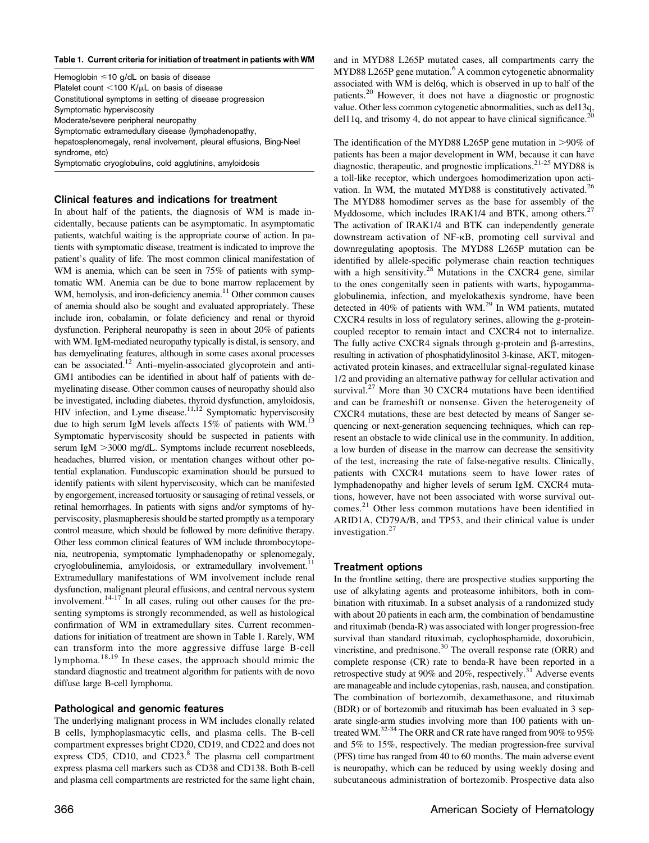#### Table 1. Current criteria for initiation of treatment in patients with WM

Hemoglobin  $\leq$ 10 g/dL on basis of disease Platelet count  $<$ 100 K/ $\mu$ L on basis of disease Constitutional symptoms in setting of disease progression Symptomatic hyperviscosity Moderate/severe peripheral neuropathy Symptomatic extramedullary disease (lymphadenopathy, hepatosplenomegaly, renal involvement, pleural effusions, Bing-Neel syndrome, etc) Symptomatic cryoglobulins, cold agglutinins, amyloidosis

Clinical features and indications for treatment

In about half of the patients, the diagnosis of WM is made incidentally, because patients can be asymptomatic. In asymptomatic patients, watchful waiting is the appropriate course of action. In patients with symptomatic disease, treatment is indicated to improve the patient's quality of life. The most common clinical manifestation of WM is anemia, which can be seen in 75% of patients with symptomatic WM. Anemia can be due to bone marrow replacement by WM, hemolysis, and iron-deficiency anemia.<sup>[11](#page-3-0)</sup> Other common causes of anemia should also be sought and evaluated appropriately. These include iron, cobalamin, or folate deficiency and renal or thyroid dysfunction. Peripheral neuropathy is seen in about 20% of patients with WM. IgM-mediated neuropathy typically is distal, is sensory, and has demyelinating features, although in some cases axonal processes can be associated.<sup>12</sup> Anti–myelin-associated glycoprotein and anti-GM1 antibodies can be identified in about half of patients with demyelinating disease. Other common causes of neuropathy should also be investigated, including diabetes, thyroid dysfunction, amyloidosis, HIV infection, and Lyme disease.<sup>[11](#page-3-0),[12](#page-3-0)</sup> Symptomatic hyperviscosity due to high serum IgM levels affects 15% of patients with WM.<sup>[13](#page-3-0)</sup> Symptomatic hyperviscosity should be suspected in patients with serum IgM >3000 mg/dL. Symptoms include recurrent nosebleeds, headaches, blurred vision, or mentation changes without other potential explanation. Funduscopic examination should be pursued to identify patients with silent hyperviscosity, which can be manifested by engorgement, increased tortuosity or sausaging of retinal vessels, or retinal hemorrhages. In patients with signs and/or symptoms of hyperviscosity, plasmapheresis should be started promptly as a temporary control measure, which should be followed by more definitive therapy. Other less common clinical features of WM include thrombocytopenia, neutropenia, symptomatic lymphadenopathy or splenomegaly, cryoglobulinemia, amyloidosis, or extramedullary involvement.<sup>[11](#page-3-0)</sup> Extramedullary manifestations of WM involvement include renal dysfunction, malignant pleural effusions, and central nervous system involvement.<sup>14-[17](#page-4-0)</sup> In all cases, ruling out other causes for the presenting symptoms is strongly recommended, as well as histological confirmation of WM in extramedullary sites. Current recommendations for initiation of treatment are shown in Table 1. Rarely, WM can transform into the more aggressive diffuse large B-cell lymphoma.[18,19](#page-4-0) In these cases, the approach should mimic the standard diagnostic and treatment algorithm for patients with de novo diffuse large B-cell lymphoma.

### Pathological and genomic features

The underlying malignant process in WM includes clonally related B cells, lymphoplasmacytic cells, and plasma cells. The B-cell compartment expresses bright CD20, CD19, and CD22 and does not express CD5, CD10, and CD23. $8$  The plasma cell compartment express plasma cell markers such as CD38 and CD138. Both B-cell and plasma cell compartments are restricted for the same light chain, and in MYD88 L265P mutated cases, all compartments carry the  $MYD88 L265P$  $MYD88 L265P$  $MYD88 L265P$  gene mutation.<sup>6</sup> A common cytogenetic abnormality associated with WM is del6q, which is observed in up to half of the patients.[20](#page-4-0) However, it does not have a diagnostic or prognostic value. Other less common cytogenetic abnormalities, such as del13q, del11q, and trisomy 4, do not appear to have clinical significance.<sup>2</sup>

The identification of the MYD88 L265P gene mutation in  $>90\%$  of patients has been a major development in WM, because it can have diagnostic, therapeutic, and prognostic implications. $2^{1-25}$  MYD88 is a toll-like receptor, which undergoes homodimerization upon acti-vation. In WM, the mutated MYD88 is constitutively activated.<sup>[26](#page-4-0)</sup> The MYD88 homodimer serves as the base for assembly of the Myddosome, which includes IRAK1/4 and BTK, among others.<sup>[27](#page-4-0)</sup> The activation of IRAK1/4 and BTK can independently generate downstream activation of NF-kB, promoting cell survival and downregulating apoptosis. The MYD88 L265P mutation can be identified by allele-specific polymerase chain reaction techniques with a high sensitivity.<sup>[28](#page-4-0)</sup> Mutations in the CXCR4 gene, similar to the ones congenitally seen in patients with warts, hypogammaglobulinemia, infection, and myelokathexis syndrome, have been detected in 40% of patients with WM.[29](#page-4-0) In WM patients, mutated CXCR4 results in loss of regulatory serines, allowing the g-proteincoupled receptor to remain intact and CXCR4 not to internalize. The fully active CXCR4 signals through g-protein and  $\beta$ -arrestins, resulting in activation of phosphatidylinositol 3-kinase, AKT, mitogenactivated protein kinases, and extracellular signal-regulated kinase 1/2 and providing an alternative pathway for cellular activation and survival.<sup>[27](#page-4-0)</sup> More than 30 CXCR4 mutations have been identified and can be frameshift or nonsense. Given the heterogeneity of CXCR4 mutations, these are best detected by means of Sanger sequencing or next-generation sequencing techniques, which can represent an obstacle to wide clinical use in the community. In addition, a low burden of disease in the marrow can decrease the sensitivity of the test, increasing the rate of false-negative results. Clinically, patients with CXCR4 mutations seem to have lower rates of lymphadenopathy and higher levels of serum IgM. CXCR4 mutations, however, have not been associated with worse survival outcomes.[21](#page-4-0) Other less common mutations have been identified in ARID1A, CD79A/B, and TP53, and their clinical value is under investigation.[27](#page-4-0)

## Treatment options

In the frontline setting, there are prospective studies supporting the use of alkylating agents and proteasome inhibitors, both in combination with rituximab. In a subset analysis of a randomized study with about 20 patients in each arm, the combination of bendamustine and rituximab (benda-R) was associated with longer progression-free survival than standard rituximab, cyclophosphamide, doxorubicin, vincristine, and prednisone.[30](#page-4-0) The overall response rate (ORR) and complete response (CR) rate to benda-R have been reported in a retrospective study at 90% and 20%, respectively.<sup>[31](#page-4-0)</sup> Adverse events are manageable and include cytopenias, rash, nausea, and constipation. The combination of bortezomib, dexamethasone, and rituximab (BDR) or of bortezomib and rituximab has been evaluated in 3 separate single-arm studies involving more than 100 patients with untreated WM.[32-34](#page-4-0) The ORR and CR rate have ranged from 90% to 95% and 5% to 15%, respectively. The median progression-free survival (PFS) time has ranged from 40 to 60 months. The main adverse event is neuropathy, which can be reduced by using weekly dosing and subcutaneous administration of bortezomib. Prospective data also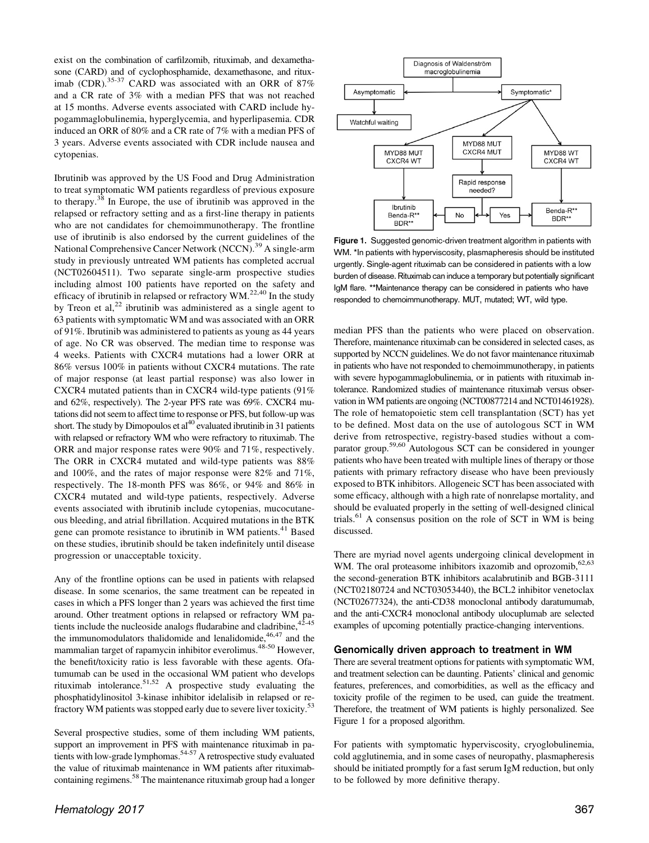exist on the combination of carfilzomib, rituximab, and dexamethasone (CARD) and of cyclophosphamide, dexamethasone, and ritux-imab (CDR).<sup>[35-37](#page-4-0)</sup> CARD was associated with an ORR of 87% and a CR rate of 3% with a median PFS that was not reached at 15 months. Adverse events associated with CARD include hypogammaglobulinemia, hyperglycemia, and hyperlipasemia. CDR induced an ORR of 80% and a CR rate of 7% with a median PFS of 3 years. Adverse events associated with CDR include nausea and cytopenias.

Ibrutinib was approved by the US Food and Drug Administration to treat symptomatic WM patients regardless of previous exposure to therapy.[38](#page-4-0) In Europe, the use of ibrutinib was approved in the relapsed or refractory setting and as a first-line therapy in patients who are not candidates for chemoimmunotherapy. The frontline use of ibrutinib is also endorsed by the current guidelines of the National Comprehensive Cancer Network (NCCN).<sup>[39](#page-4-0)</sup> A single-arm study in previously untreated WM patients has completed accrual (NCT02604511). Two separate single-arm prospective studies including almost 100 patients have reported on the safety and efficacy of ibrutinib in relapsed or refractory  $WM.^{22,40}$  $WM.^{22,40}$  $WM.^{22,40}$  $WM.^{22,40}$  $WM.^{22,40}$  In the study by Treon et al, $2<sup>2</sup>$  ibrutinib was administered as a single agent to 63 patients with symptomatic WM and was associated with an ORR of 91%. Ibrutinib was administered to patients as young as 44 years of age. No CR was observed. The median time to response was 4 weeks. Patients with CXCR4 mutations had a lower ORR at 86% versus 100% in patients without CXCR4 mutations. The rate of major response (at least partial response) was also lower in CXCR4 mutated patients than in CXCR4 wild-type patients (91% and 62%, respectively). The 2-year PFS rate was 69%. CXCR4 mutations did not seem to affect time to response or PFS, but follow-up was short. The study by Dimopoulos et al<sup>[40](#page-4-0)</sup> evaluated ibrutinib in 31 patients with relapsed or refractory WM who were refractory to rituximab. The ORR and major response rates were 90% and 71%, respectively. The ORR in CXCR4 mutated and wild-type patients was 88% and 100%, and the rates of major response were 82% and 71%, respectively. The 18-month PFS was 86%, or 94% and 86% in CXCR4 mutated and wild-type patients, respectively. Adverse events associated with ibrutinib include cytopenias, mucocutaneous bleeding, and atrial fibrillation. Acquired mutations in the BTK gene can promote resistance to ibrutinib in WM patients.<sup>[41](#page-4-0)</sup> Based on these studies, ibrutinib should be taken indefinitely until disease progression or unacceptable toxicity.

Any of the frontline options can be used in patients with relapsed disease. In some scenarios, the same treatment can be repeated in cases in which a PFS longer than 2 years was achieved the first time around. Other treatment options in relapsed or refractory WM patients include the nucleoside analogs fludarabine and cladribine,  $42-45$ the immunomodulators thalidomide and lenalidomide,  $46,47$  $46,47$  $46,47$  and the mammalian target of rapamycin inhibitor everolimus.<sup>[48-50](#page-4-0)</sup> However, the benefit/toxicity ratio is less favorable with these agents. Ofatumumab can be used in the occasional WM patient who develops rituximab intolerance.[51](#page-4-0),[52](#page-5-0) A prospective study evaluating the phosphatidylinositol 3-kinase inhibitor idelalisib in relapsed or re-fractory WM patients was stopped early due to severe liver toxicity.<sup>[53](#page-5-0)</sup>

Several prospective studies, some of them including WM patients, support an improvement in PFS with maintenance rituximab in pa-tients with low-grade lymphomas.<sup>[54-57](#page-5-0)</sup> A retrospective study evaluated the value of rituximab maintenance in WM patients after rituximab-containing regimens.<sup>[58](#page-5-0)</sup> The maintenance rituximab group had a longer



Figure 1. Suggested genomic-driven treatment algorithm in patients with WM. \*In patients with hyperviscosity, plasmapheresis should be instituted urgently. Single-agent rituximab can be considered in patients with a low burden of disease. Rituximab can induce a temporary but potentially significant IgM flare. \*\*Maintenance therapy can be considered in patients who have responded to chemoimmunotherapy. MUT, mutated; WT, wild type.

median PFS than the patients who were placed on observation. Therefore, maintenance rituximab can be considered in selected cases, as supported by NCCN guidelines. We do not favor maintenance rituximab in patients who have not responded to chemoimmunotherapy, in patients with severe hypogammaglobulinemia, or in patients with rituximab intolerance. Randomized studies of maintenance rituximab versus observation in WM patients are ongoing (NCT00877214 and NCT01461928). The role of hematopoietic stem cell transplantation (SCT) has yet to be defined. Most data on the use of autologous SCT in WM derive from retrospective, registry-based studies without a comparator group.[59,60](#page-5-0) Autologous SCT can be considered in younger patients who have been treated with multiple lines of therapy or those patients with primary refractory disease who have been previously exposed to BTK inhibitors. Allogeneic SCT has been associated with some efficacy, although with a high rate of nonrelapse mortality, and should be evaluated properly in the setting of well-designed clinical trials.[61](#page-5-0) A consensus position on the role of SCT in WM is being discussed.

There are myriad novel agents undergoing clinical development in WM. The oral proteasome inhibitors ixazomib and oprozomib, <sup>[62](#page-5-0),[63](#page-5-0)</sup> the second-generation BTK inhibitors acalabrutinib and BGB-3111 (NCT02180724 and NCT03053440), the BCL2 inhibitor venetoclax (NCT02677324), the anti-CD38 monoclonal antibody daratumumab, and the anti-CXCR4 monoclonal antibody ulocuplumab are selected examples of upcoming potentially practice-changing interventions.

#### Genomically driven approach to treatment in WM

There are several treatment options for patients with symptomatic WM, and treatment selection can be daunting. Patients' clinical and genomic features, preferences, and comorbidities, as well as the efficacy and toxicity profile of the regimen to be used, can guide the treatment. Therefore, the treatment of WM patients is highly personalized. See Figure 1 for a proposed algorithm.

For patients with symptomatic hyperviscosity, cryoglobulinemia, cold agglutinemia, and in some cases of neuropathy, plasmapheresis should be initiated promptly for a fast serum IgM reduction, but only to be followed by more definitive therapy.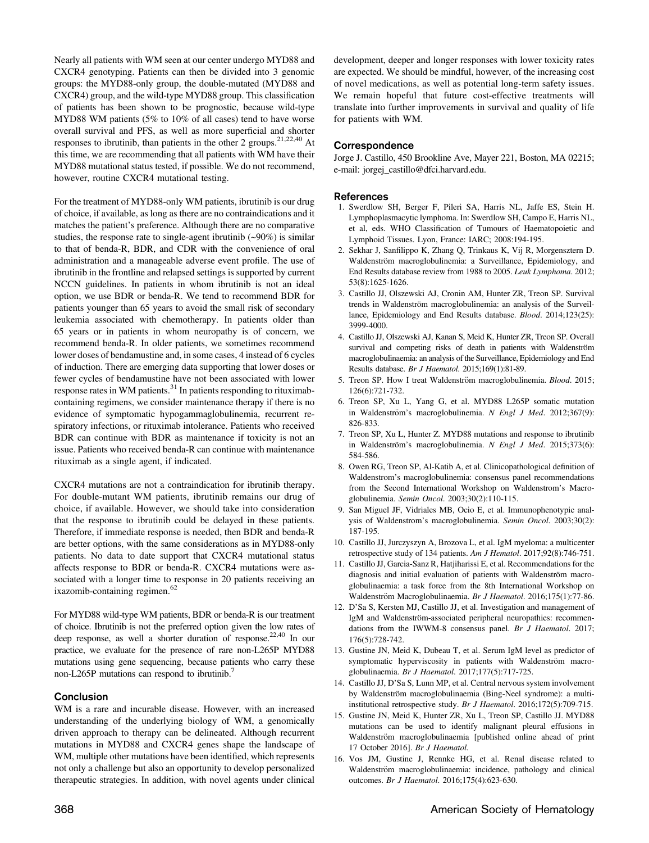<span id="page-3-0"></span>Nearly all patients with WM seen at our center undergo MYD88 and CXCR4 genotyping. Patients can then be divided into 3 genomic groups: the MYD88-only group, the double-mutated (MYD88 and CXCR4) group, and the wild-type MYD88 group. This classification of patients has been shown to be prognostic, because wild-type MYD88 WM patients (5% to 10% of all cases) tend to have worse overall survival and PFS, as well as more superficial and shorter responses to ibrutinib, than patients in the other 2 groups.<sup>21,[22,40](#page-4-0)</sup> At this time, we are recommending that all patients with WM have their MYD88 mutational status tested, if possible. We do not recommend, however, routine CXCR4 mutational testing.

For the treatment of MYD88-only WM patients, ibrutinib is our drug of choice, if available, as long as there are no contraindications and it matches the patient's preference. Although there are no comparative studies, the response rate to single-agent ibrutinib  $(\sim 90\%)$  is similar to that of benda-R, BDR, and CDR with the convenience of oral administration and a manageable adverse event profile. The use of ibrutinib in the frontline and relapsed settings is supported by current NCCN guidelines. In patients in whom ibrutinib is not an ideal option, we use BDR or benda-R. We tend to recommend BDR for patients younger than 65 years to avoid the small risk of secondary leukemia associated with chemotherapy. In patients older than 65 years or in patients in whom neuropathy is of concern, we recommend benda-R. In older patients, we sometimes recommend lower doses of bendamustine and, in some cases, 4 instead of 6 cycles of induction. There are emerging data supporting that lower doses or fewer cycles of bendamustine have not been associated with lower response rates in WM patients. $31$  In patients responding to rituximabcontaining regimens, we consider maintenance therapy if there is no evidence of symptomatic hypogammaglobulinemia, recurrent respiratory infections, or rituximab intolerance. Patients who received BDR can continue with BDR as maintenance if toxicity is not an issue. Patients who received benda-R can continue with maintenance rituximab as a single agent, if indicated.

CXCR4 mutations are not a contraindication for ibrutinib therapy. For double-mutant WM patients, ibrutinib remains our drug of choice, if available. However, we should take into consideration that the response to ibrutinib could be delayed in these patients. Therefore, if immediate response is needed, then BDR and benda-R are better options, with the same considerations as in MYD88-only patients. No data to date support that CXCR4 mutational status affects response to BDR or benda-R. CXCR4 mutations were associated with a longer time to response in 20 patients receiving an ixazomib-containing regimen.<sup>[62](#page-5-0)</sup>

For MYD88 wild-type WM patients, BDR or benda-R is our treatment of choice. Ibrutinib is not the preferred option given the low rates of deep response, as well a shorter duration of response.<sup>[22](#page-4-0),[40](#page-4-0)</sup> In our practice, we evaluate for the presence of rare non-L265P MYD88 mutations using gene sequencing, because patients who carry these non-L265P mutations can respond to ibrutinib.<sup>7</sup>

# Conclusion

WM is a rare and incurable disease. However, with an increased understanding of the underlying biology of WM, a genomically driven approach to therapy can be delineated. Although recurrent mutations in MYD88 and CXCR4 genes shape the landscape of WM, multiple other mutations have been identified, which represents not only a challenge but also an opportunity to develop personalized therapeutic strategies. In addition, with novel agents under clinical

development, deeper and longer responses with lower toxicity rates are expected. We should be mindful, however, of the increasing cost of novel medications, as well as potential long-term safety issues. We remain hopeful that future cost-effective treatments will translate into further improvements in survival and quality of life for patients with WM.

## Correspondence

Jorge J. Castillo, 450 Brookline Ave, Mayer 221, Boston, MA 02215; e-mail: [jorgej\\_castillo@dfci.harvard.edu.](mailto:jorgej_castillo@dfci.harvard.edu)

#### References

- 1. Swerdlow SH, Berger F, Pileri SA, Harris NL, Jaffe ES, Stein H. Lymphoplasmacytic lymphoma. In: Swerdlow SH, Campo E, Harris NL, et al, eds. WHO Classification of Tumours of Haematopoietic and Lymphoid Tissues. Lyon, France: IARC; 2008:194-195.
- 2. Sekhar J, Sanfilippo K, Zhang Q, Trinkaus K, Vij R, Morgensztern D. Waldenström macroglobulinemia: a Surveillance, Epidemiology, and End Results database review from 1988 to 2005. Leuk Lymphoma. 2012; 53(8):1625-1626.
- 3. Castillo JJ, Olszewski AJ, Cronin AM, Hunter ZR, Treon SP. Survival trends in Waldenström macroglobulinemia: an analysis of the Surveillance, Epidemiology and End Results database. Blood. 2014;123(25): 3999-4000.
- 4. Castillo JJ, Olszewski AJ, Kanan S, Meid K, Hunter ZR, Treon SP. Overall survival and competing risks of death in patients with Waldenström macroglobulinaemia: an analysis of the Surveillance, Epidemiology and End Results database. Br J Haematol. 2015;169(1):81-89.
- 5. Treon SP. How I treat Waldenström macroglobulinemia. *Blood.* 2015; 126(6):721-732.
- 6. Treon SP, Xu L, Yang G, et al. MYD88 L265P somatic mutation in Waldenström's macroglobulinemia. N Engl J Med. 2012;367(9): 826-833.
- 7. Treon SP, Xu L, Hunter Z. MYD88 mutations and response to ibrutinib in Waldenström's macroglobulinemia. N Engl J Med. 2015;373(6): 584-586.
- 8. Owen RG, Treon SP, Al-Katib A, et al. Clinicopathological definition of Waldenstrom's macroglobulinemia: consensus panel recommendations from the Second International Workshop on Waldenstrom's Macroglobulinemia. Semin Oncol. 2003;30(2):110-115.
- 9. San Miguel JF, Vidriales MB, Ocio E, et al. Immunophenotypic analysis of Waldenstrom's macroglobulinemia. Semin Oncol. 2003;30(2): 187-195.
- 10. Castillo JJ, Jurczyszyn A, Brozova L, et al. IgM myeloma: a multicenter retrospective study of 134 patients. Am J Hematol. 2017;92(8):746-751.
- 11. Castillo JJ, Garcia-Sanz R, Hatjiharissi E, et al. Recommendations for the diagnosis and initial evaluation of patients with Waldenström macroglobulinaemia: a task force from the 8th International Workshop on Waldenström Macroglobulinaemia. Br J Haematol. 2016;175(1):77-86.
- 12. D'Sa S, Kersten MJ, Castillo JJ, et al. Investigation and management of IgM and Waldenström-associated peripheral neuropathies: recommendations from the IWWM-8 consensus panel. Br J Haematol. 2017; 176(5):728-742.
- 13. Gustine JN, Meid K, Dubeau T, et al. Serum IgM level as predictor of symptomatic hyperviscosity in patients with Waldenström macroglobulinaemia. Br J Haematol. 2017;177(5):717-725.
- 14. Castillo JJ, D'Sa S, Lunn MP, et al. Central nervous system involvement by Waldenström macroglobulinaemia (Bing-Neel syndrome): a multiinstitutional retrospective study. Br J Haematol. 2016;172(5):709-715.
- 15. Gustine JN, Meid K, Hunter ZR, Xu L, Treon SP, Castillo JJ. MYD88 mutations can be used to identify malignant pleural effusions in Waldenström macroglobulinaemia [published online ahead of print 17 October 2016]. Br J Haematol.
- 16. Vos JM, Gustine J, Rennke HG, et al. Renal disease related to Waldenström macroglobulinaemia: incidence, pathology and clinical outcomes. Br J Haematol. 2016;175(4):623-630.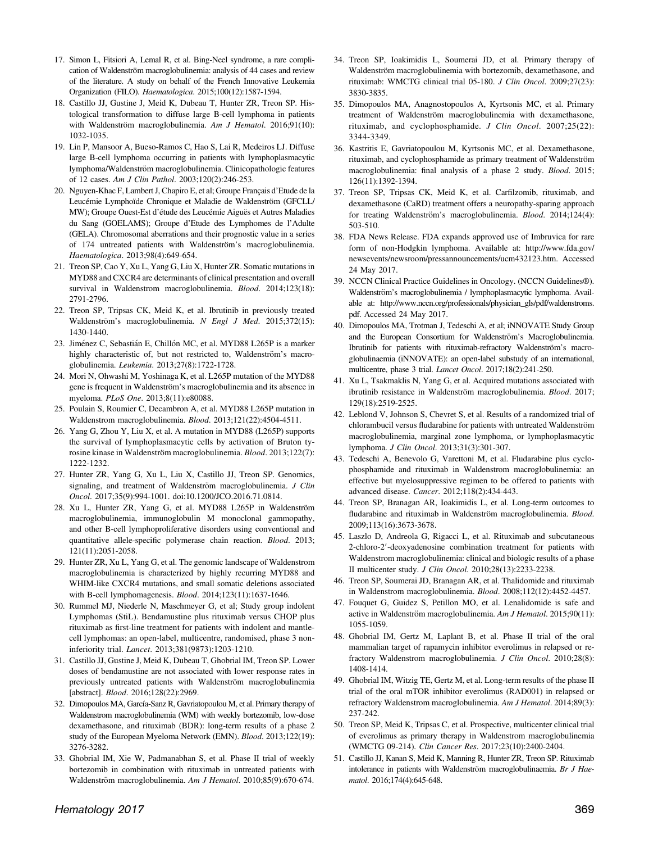- <span id="page-4-0"></span>17. Simon L, Fitsiori A, Lemal R, et al. Bing-Neel syndrome, a rare complication of Waldenström macroglobulinemia: analysis of 44 cases and review of the literature. A study on behalf of the French Innovative Leukemia Organization (FILO). Haematologica. 2015;100(12):1587-1594.
- 18. Castillo JJ, Gustine J, Meid K, Dubeau T, Hunter ZR, Treon SP. Histological transformation to diffuse large B-cell lymphoma in patients with Waldenström macroglobulinemia. Am J Hematol. 2016;91(10): 1032-1035.
- 19. Lin P, Mansoor A, Bueso-Ramos C, Hao S, Lai R, Medeiros LJ. Diffuse large B-cell lymphoma occurring in patients with lymphoplasmacytic lymphoma/Waldenström macroglobulinemia. Clinicopathologic features of 12 cases. Am J Clin Pathol. 2003;120(2):246-253.
- 20. Nguyen-Khac F, Lambert J, Chapiro E, et al; Groupe Français d'Etude de la Leucémie Lymphoïde Chronique et Maladie de Waldenström (GFCLL/ MW); Groupe Ouest-Est d'étude des Leucémie Aiguës et Autres Maladies du Sang (GOELAMS); Groupe d'Etude des Lymphomes de l'Adulte (GELA). Chromosomal aberrations and their prognostic value in a series of 174 untreated patients with Waldenström's macroglobulinemia. Haematologica. 2013;98(4):649-654.
- 21. Treon SP, Cao Y, Xu L, Yang G, Liu X, Hunter ZR. Somatic mutations in MYD88 and CXCR4 are determinants of clinical presentation and overall survival in Waldenstrom macroglobulinemia. Blood. 2014;123(18): 2791-2796.
- 22. Treon SP, Tripsas CK, Meid K, et al. Ibrutinib in previously treated Waldenström's macroglobulinemia. N Engl J Med. 2015;372(15): 1430-1440.
- 23. Jiménez C, Sebastián E, Chillón MC, et al. MYD88 L265P is a marker highly characteristic of, but not restricted to, Waldenström's macroglobulinemia. Leukemia. 2013;27(8):1722-1728.
- 24. Mori N, Ohwashi M, Yoshinaga K, et al. L265P mutation of the MYD88 gene is frequent in Waldenström's macroglobulinemia and its absence in myeloma. PLoS One. 2013;8(11):e80088.
- 25. Poulain S, Roumier C, Decambron A, et al. MYD88 L265P mutation in Waldenstrom macroglobulinemia. Blood. 2013;121(22):4504-4511.
- 26. Yang G, Zhou Y, Liu X, et al. A mutation in MYD88 (L265P) supports the survival of lymphoplasmacytic cells by activation of Bruton tyrosine kinase in Waldenström macroglobulinemia. Blood. 2013;122(7): 1222-1232.
- 27. Hunter ZR, Yang G, Xu L, Liu X, Castillo JJ, Treon SP. Genomics, signaling, and treatment of Waldenström macroglobulinemia. J Clin Oncol. 2017;35(9):994-1001. [doi:10.1200/JCO.2016.71.0814.](http://ascopubs.org/doi/abs/10.1200/JCO.2016.71.0814?url_ver=Z39.88-2003&rfr_id=ori%3Arid%3Acrossref.org&rfr_dat=cr_pub%3Dpubmed&)
- 28. Xu L, Hunter ZR, Yang G, et al. MYD88 L265P in Waldenström macroglobulinemia, immunoglobulin M monoclonal gammopathy, and other B-cell lymphoproliferative disorders using conventional and quantitative allele-specific polymerase chain reaction. Blood. 2013; 121(11):2051-2058.
- 29. Hunter ZR, Xu L, Yang G, et al. The genomic landscape of Waldenstrom macroglobulinemia is characterized by highly recurring MYD88 and WHIM-like CXCR4 mutations, and small somatic deletions associated with B-cell lymphomagenesis. Blood. 2014;123(11):1637-1646.
- 30. Rummel MJ, Niederle N, Maschmeyer G, et al; Study group indolent Lymphomas (StiL). Bendamustine plus rituximab versus CHOP plus rituximab as first-line treatment for patients with indolent and mantlecell lymphomas: an open-label, multicentre, randomised, phase 3 noninferiority trial. Lancet. 2013;381(9873):1203-1210.
- 31. Castillo JJ, Gustine J, Meid K, Dubeau T, Ghobrial IM, Treon SP. Lower doses of bendamustine are not associated with lower response rates in previously untreated patients with Waldenström macroglobulinemia [abstract]. Blood. 2016;128(22):2969.
- 32. Dimopoulos MA, García-Sanz R, Gavriatopoulou M, et al. Primary therapy of Waldenstrom macroglobulinemia (WM) with weekly bortezomib, low-dose dexamethasone, and rituximab (BDR): long-term results of a phase 2 study of the European Myeloma Network (EMN). Blood. 2013;122(19): 3276-3282.
- 33. Ghobrial IM, Xie W, Padmanabhan S, et al. Phase II trial of weekly bortezomib in combination with rituximab in untreated patients with Waldenström macroglobulinemia. Am J Hematol. 2010;85(9):670-674.
- 34. Treon SP, Ioakimidis L, Soumerai JD, et al. Primary therapy of Waldenström macroglobulinemia with bortezomib, dexamethasone, and rituximab: WMCTG clinical trial 05-180. J Clin Oncol. 2009;27(23): 3830-3835.
- 35. Dimopoulos MA, Anagnostopoulos A, Kyrtsonis MC, et al. Primary treatment of Waldenström macroglobulinemia with dexamethasone, rituximab, and cyclophosphamide. J Clin Oncol. 2007;25(22): 3344-3349.
- 36. Kastritis E, Gavriatopoulou M, Kyrtsonis MC, et al. Dexamethasone, rituximab, and cyclophosphamide as primary treatment of Waldenström macroglobulinemia: final analysis of a phase 2 study. Blood. 2015; 126(11):1392-1394.
- 37. Treon SP, Tripsas CK, Meid K, et al. Carfilzomib, rituximab, and dexamethasone (CaRD) treatment offers a neuropathy-sparing approach for treating Waldenström's macroglobulinemia. Blood. 2014;124(4): 503-510.
- 38. FDA News Release. FDA expands approved use of Imbruvica for rare form of non-Hodgkin lymphoma. Available at: [http://www.fda.gov/](http://www.fda.gov/newsevents/newsroom/pressannouncements/ucm432123.htm) [newsevents/newsroom/pressannouncements/ucm432123.htm.](http://www.fda.gov/newsevents/newsroom/pressannouncements/ucm432123.htm) Accessed 24 May 2017.
- 39. NCCN Clinical Practice Guidelines in Oncology. (NCCN Guidelines®). Waldenström's macroglobulinemia / lymphoplasmacytic lymphoma. Available at: [http://www.nccn.org/professionals/physician\\_gls/pdf/waldenstroms.](http://www.nccn.org/professionals/physician_gls/pdf/waldenstroms.pdf) [pdf](http://www.nccn.org/professionals/physician_gls/pdf/waldenstroms.pdf). Accessed 24 May 2017.
- 40. Dimopoulos MA, Trotman J, Tedeschi A, et al; iNNOVATE Study Group and the European Consortium for Waldenström's Macroglobulinemia. Ibrutinib for patients with rituximab-refractory Waldenström's macroglobulinaemia (iNNOVATE): an open-label substudy of an international, multicentre, phase 3 trial. Lancet Oncol. 2017;18(2):241-250.
- 41. Xu L, Tsakmaklis N, Yang G, et al. Acquired mutations associated with ibrutinib resistance in Waldenström macroglobulinemia. Blood. 2017; 129(18):2519-2525.
- 42. Leblond V, Johnson S, Chevret S, et al. Results of a randomized trial of chlorambucil versus fludarabine for patients with untreated Waldenström macroglobulinemia, marginal zone lymphoma, or lymphoplasmacytic lymphoma. J Clin Oncol. 2013;31(3):301-307.
- 43. Tedeschi A, Benevolo G, Varettoni M, et al. Fludarabine plus cyclophosphamide and rituximab in Waldenstrom macroglobulinemia: an effective but myelosuppressive regimen to be offered to patients with advanced disease. Cancer. 2012;118(2):434-443.
- 44. Treon SP, Branagan AR, Ioakimidis L, et al. Long-term outcomes to fludarabine and rituximab in Waldenström macroglobulinemia. Blood. 2009;113(16):3673-3678.
- 45. Laszlo D, Andreola G, Rigacci L, et al. Rituximab and subcutaneous 2-chloro-2'-deoxyadenosine combination treatment for patients with Waldenstrom macroglobulinemia: clinical and biologic results of a phase II multicenter study. J Clin Oncol. 2010;28(13):2233-2238.
- 46. Treon SP, Soumerai JD, Branagan AR, et al. Thalidomide and rituximab in Waldenstrom macroglobulinemia. Blood. 2008;112(12):4452-4457.
- 47. Fouquet G, Guidez S, Petillon MO, et al. Lenalidomide is safe and active in Waldenström macroglobulinemia. Am J Hematol. 2015;90(11): 1055-1059.
- 48. Ghobrial IM, Gertz M, Laplant B, et al. Phase II trial of the oral mammalian target of rapamycin inhibitor everolimus in relapsed or refractory Waldenstrom macroglobulinemia. J Clin Oncol. 2010;28(8): 1408-1414.
- 49. Ghobrial IM, Witzig TE, Gertz M, et al. Long-term results of the phase II trial of the oral mTOR inhibitor everolimus (RAD001) in relapsed or refractory Waldenstrom macroglobulinemia. Am J Hematol. 2014;89(3): 237-242.
- 50. Treon SP, Meid K, Tripsas C, et al. Prospective, multicenter clinical trial of everolimus as primary therapy in Waldenstrom macroglobulinemia (WMCTG 09-214). Clin Cancer Res. 2017;23(10):2400-2404.
- 51. Castillo JJ, Kanan S, Meid K, Manning R, Hunter ZR, Treon SP. Rituximab intolerance in patients with Waldenström macroglobulinaemia. Br J Haematol. 2016;174(4):645-648.